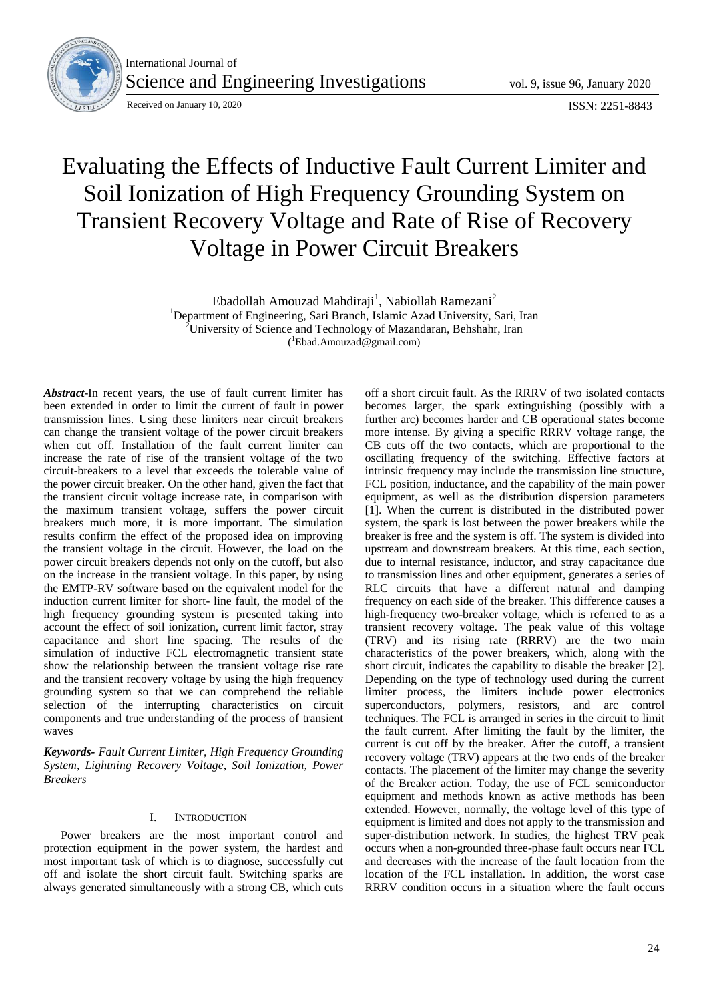

International Journal of Science and Engineering Investigations vol. 9, issue 96, January 2020

Received on January 10, 2020 **ISSN: 2251-8843** 

# Evaluating the Effects of Inductive Fault Current Limiter and Soil Ionization of High Frequency Grounding System on Transient Recovery Voltage and Rate of Rise of Recovery Voltage in Power Circuit Breakers

Ebadollah Amouzad Mahdiraji<sup>1</sup>, Nabiollah Ramezani<sup>2</sup>

<sup>1</sup>Department of Engineering, Sari Branch, Islamic Azad University, Sari, Iran <sup>2</sup>University of Science and Technology of Mazandaran, Behshahr, Iran

( <sup>1</sup>Ebad.Amouzad@gmail.com)

*Abstract*-In recent years, the use of fault current limiter has been extended in order to limit the current of fault in power transmission lines. Using these limiters near circuit breakers can change the transient voltage of the power circuit breakers when cut off. Installation of the fault current limiter can increase the rate of rise of the transient voltage of the two circuit-breakers to a level that exceeds the tolerable value of the power circuit breaker. On the other hand, given the fact that the transient circuit voltage increase rate, in comparison with the maximum transient voltage, suffers the power circuit breakers much more, it is more important. The simulation results confirm the effect of the proposed idea on improving the transient voltage in the circuit. However, the load on the power circuit breakers depends not only on the cutoff, but also on the increase in the transient voltage. In this paper, by using the EMTP-RV software based on the equivalent model for the induction current limiter for short- line fault, the model of the high frequency grounding system is presented taking into account the effect of soil ionization, current limit factor, stray capacitance and short line spacing. The results of the simulation of inductive FCL electromagnetic transient state show the relationship between the transient voltage rise rate and the transient recovery voltage by using the high frequency grounding system so that we can comprehend the reliable selection of the interrupting characteristics on circuit components and true understanding of the process of transient waves

*Keywords- Fault Current Limiter, High Frequency Grounding System, Lightning Recovery Voltage, Soil Ionization, Power Breakers*

## I. INTRODUCTION

Power breakers are the most important control and protection equipment in the power system, the hardest and most important task of which is to diagnose, successfully cut off and isolate the short circuit fault. Switching sparks are always generated simultaneously with a strong CB, which cuts

off a short circuit fault. As the RRRV of two isolated contacts becomes larger, the spark extinguishing (possibly with a further arc) becomes harder and CB operational states become more intense. By giving a specific RRRV voltage range, the CB cuts off the two contacts, which are proportional to the oscillating frequency of the switching. Effective factors at intrinsic frequency may include the transmission line structure, FCL position, inductance, and the capability of the main power equipment, as well as the distribution dispersion parameters [1]. When the current is distributed in the distributed power system, the spark is lost between the power breakers while the breaker is free and the system is off. The system is divided into upstream and downstream breakers. At this time, each section, due to internal resistance, inductor, and stray capacitance due to transmission lines and other equipment, generates a series of RLC circuits that have a different natural and damping frequency on each side of the breaker. This difference causes a high-frequency two-breaker voltage, which is referred to as a transient recovery voltage. The peak value of this voltage (TRV) and its rising rate (RRRV) are the two main characteristics of the power breakers, which, along with the short circuit, indicates the capability to disable the breaker [2]. Depending on the type of technology used during the current limiter process, the limiters include power electronics superconductors, polymers, resistors, and arc control techniques. The FCL is arranged in series in the circuit to limit the fault current. After limiting the fault by the limiter, the current is cut off by the breaker. After the cutoff, a transient recovery voltage (TRV) appears at the two ends of the breaker contacts. The placement of the limiter may change the severity of the Breaker action. Today, the use of FCL semiconductor equipment and methods known as active methods has been extended. However, normally, the voltage level of this type of equipment is limited and does not apply to the transmission and super-distribution network. In studies, the highest TRV peak occurs when a non-grounded three-phase fault occurs near FCL and decreases with the increase of the fault location from the location of the FCL installation. In addition, the worst case RRRV condition occurs in a situation where the fault occurs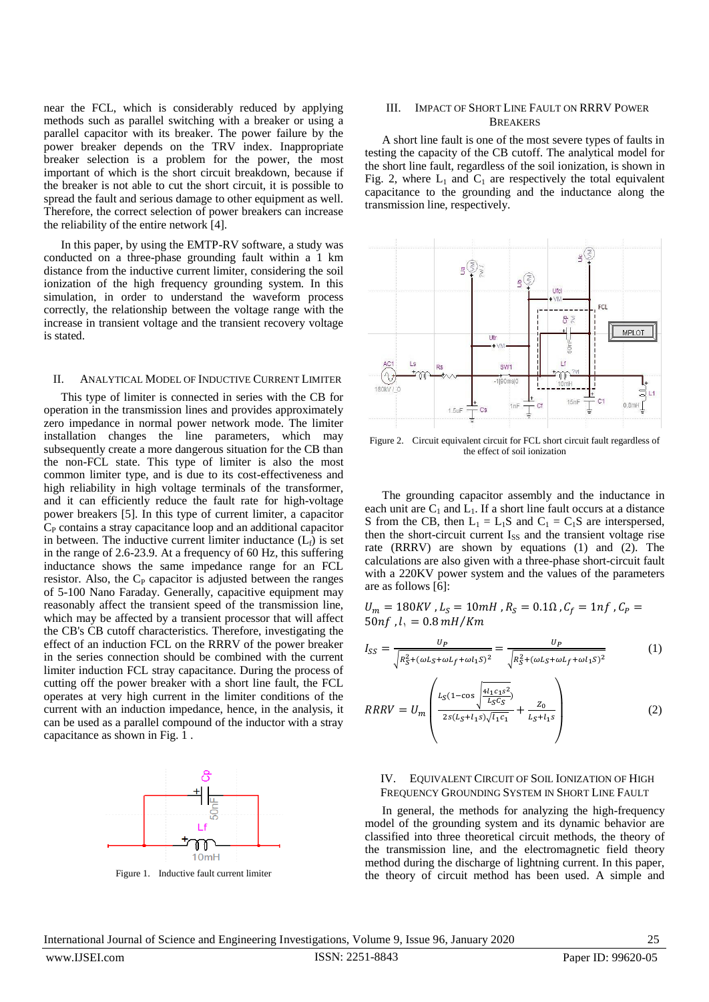near the FCL, which is considerably reduced by applying methods such as parallel switching with a breaker or using a parallel capacitor with its breaker. The power failure by the power breaker depends on the TRV index. Inappropriate breaker selection is a problem for the power, the most important of which is the short circuit breakdown, because if the breaker is not able to cut the short circuit, it is possible to spread the fault and serious damage to other equipment as well. Therefore, the correct selection of power breakers can increase the reliability of the entire network [4].

In this paper, by using the EMTP-RV software, a study was conducted on a three-phase grounding fault within a 1 km distance from the inductive current limiter, considering the soil ionization of the high frequency grounding system. In this simulation, in order to understand the waveform process correctly, the relationship between the voltage range with the increase in transient voltage and the transient recovery voltage is stated.

## II. ANALYTICAL MODEL OF INDUCTIVE CURRENT LIMITER

This type of limiter is connected in series with the CB for operation in the transmission lines and provides approximately zero impedance in normal power network mode. The limiter installation changes the line parameters, which may subsequently create a more dangerous situation for the CB than the non-FCL state. This type of limiter is also the most common limiter type, and is due to its cost-effectiveness and high reliability in high voltage terminals of the transformer, and it can efficiently reduce the fault rate for high-voltage power breakers [5]. In this type of current limiter, a capacitor  $C_{P}$  contains a stray capacitance loop and an additional capacitor in between. The inductive current limiter inductance  $(L_f)$  is set in the range of 2.6-23.9. At a frequency of 60 Hz, this suffering inductance shows the same impedance range for an FCL resistor. Also, the  $C_P$  capacitor is adjusted between the ranges of 5-100 Nano Faraday. Generally, capacitive equipment may reasonably affect the transient speed of the transmission line, which may be affected by a transient processor that will affect the CB's CB cutoff characteristics. Therefore, investigating the effect of an induction FCL on the RRRV of the power breaker in the series connection should be combined with the current limiter induction FCL stray capacitance. During the process of cutting off the power breaker with a short line fault, the FCL operates at very high current in the limiter conditions of the current with an induction impedance, hence, in the analysis, it can be used as a parallel compound of the inductor with a stray capacitance as shown in Fig. 1.



Figure 1. Inductive fault current limiter

## III. IMPACT OF SHORT LINE FAULT ON RRRV POWER **BREAKERS**

A short line fault is one of the most severe types of faults in testing the capacity of the CB cutoff. The analytical model for the short line fault, regardless of the soil ionization, is shown in Fig. 2, where  $L_1$  and  $C_1$  are respectively the total equivalent capacitance to the grounding and the inductance along the transmission line, respectively.



Figure 2. Circuit equivalent circuit for FCL short circuit fault regardless of the effect of soil ionization

The grounding capacitor assembly and the inductance in each unit are  $C_1$  and  $L_1$ . If a short line fault occurs at a distance S from the CB, then  $L_1 = L_1S$  and  $C_1 = C_1S$  are interspersed, then the short-circuit current I<sub>SS</sub> and the transient voltage rise rate (RRRV) are shown by equations (1) and (2). The calculations are also given with a three-phase short-circuit fault with a 220KV power system and the values of the parameters are as follows [6]:

 $U_m = 180KV$  ,  $L_S = 10mH$  ,  $R_S = 0.1\Omega$  ,  $C_f = 1nf$  ,  $C_P =$ 50 $nf$ ,  $l_1 = 0.8 \, mH/K$ 

$$
I_{SS} = \frac{U_P}{\sqrt{R_S^2 + (\omega L_S + \omega L_f + \omega l_1 S)^2}} = \frac{U_P}{\sqrt{R_S^2 + (\omega L_S + \omega L_f + \omega l_1 S)^2}}
$$
(1)

$$
RRRV = U_m \left( \frac{L_S (1 - \cos \sqrt{\frac{4l_1 c_1 s^2}{L_S c_S}})}{2s (L_S + l_1 s) \sqrt{l_1 c_1}} + \frac{Z_0}{L_S + l_1 s} \right) \tag{2}
$$

## IV. EQUIVALENT CIRCUIT OF SOIL IONIZATION OF HIGH FREQUENCY GROUNDING SYSTEM IN SHORT LINE FAULT

In general, the methods for analyzing the high-frequency model of the grounding system and its dynamic behavior are classified into three theoretical circuit methods, the theory of the transmission line, and the electromagnetic field theory method during the discharge of lightning current. In this paper, the theory of circuit method has been used. A simple and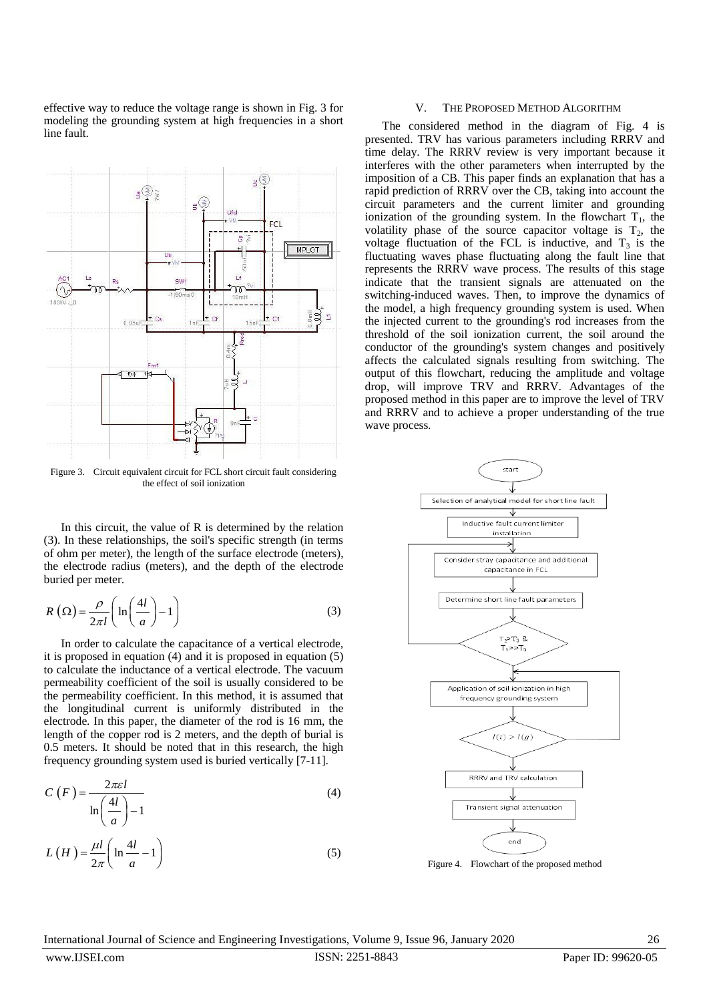effective way to reduce the voltage range is shown in Fig. 3 for modeling the grounding system at high frequencies in a short line fault.



Figure 3. Circuit equivalent circuit for FCL short circuit fault considering the effect of soil ionization

In this circuit, the value of R is determined by the relation (3). In these relationships, the soil's specific strength (in terms of ohm per meter), the length of the surface electrode (meters), the electrode radius (meters), and the depth of the electrode buried per meter.

$$
R\left(\Omega\right) = \frac{\rho}{2\pi l} \left( \ln \left(\frac{4l}{a}\right) - 1 \right) \tag{3}
$$

In order to calculate the capacitance of a vertical electrode, it is proposed in equation (4) and it is proposed in equation (5) to calculate the inductance of a vertical electrode. The vacuum permeability coefficient of the soil is usually considered to be the permeability coefficient. In this method, it is assumed that the longitudinal current is uniformly distributed in the electrode. In this paper, the diameter of the rod is 16 mm, the length of the copper rod is 2 meters, and the depth of burial is 0.5 meters. It should be noted that in this research, the high frequency grounding system used is buried vertically [7-11].

$$
C(F) = \frac{2\pi\epsilon l}{\ln\left(\frac{4l}{a}\right) - 1}
$$
 (4)

$$
L(H) = \frac{\mu l}{2\pi} \left( \ln \frac{4l}{a} - 1 \right)
$$
 (5)

#### V. THE PROPOSED METHOD ALGORITHM

The considered method in the diagram of Fig. 4 is presented. TRV has various parameters including RRRV and time delay. The RRRV review is very important because it interferes with the other parameters when interrupted by the imposition of a CB. This paper finds an explanation that has a rapid prediction of RRRV over the CB, taking into account the circuit parameters and the current limiter and grounding ionization of the grounding system. In the flowchart  $T_1$ , the volatility phase of the source capacitor voltage is  $T_2$ , the voltage fluctuation of the FCL is inductive, and  $T_3$  is the fluctuating waves phase fluctuating along the fault line that represents the RRRV wave process. The results of this stage indicate that the transient signals are attenuated on the switching-induced waves. Then, to improve the dynamics of the model, a high frequency grounding system is used. When the injected current to the grounding's rod increases from the threshold of the soil ionization current, the soil around the conductor of the grounding's system changes and positively affects the calculated signals resulting from switching. The output of this flowchart, reducing the amplitude and voltage drop, will improve TRV and RRRV. Advantages of the proposed method in this paper are to improve the level of TRV and RRRV and to achieve a proper understanding of the true wave process.



Figure 4. Flowchart of the proposed method

International Journal of Science and Engineering Investigations, Volume 9, Issue 96, January 2020 26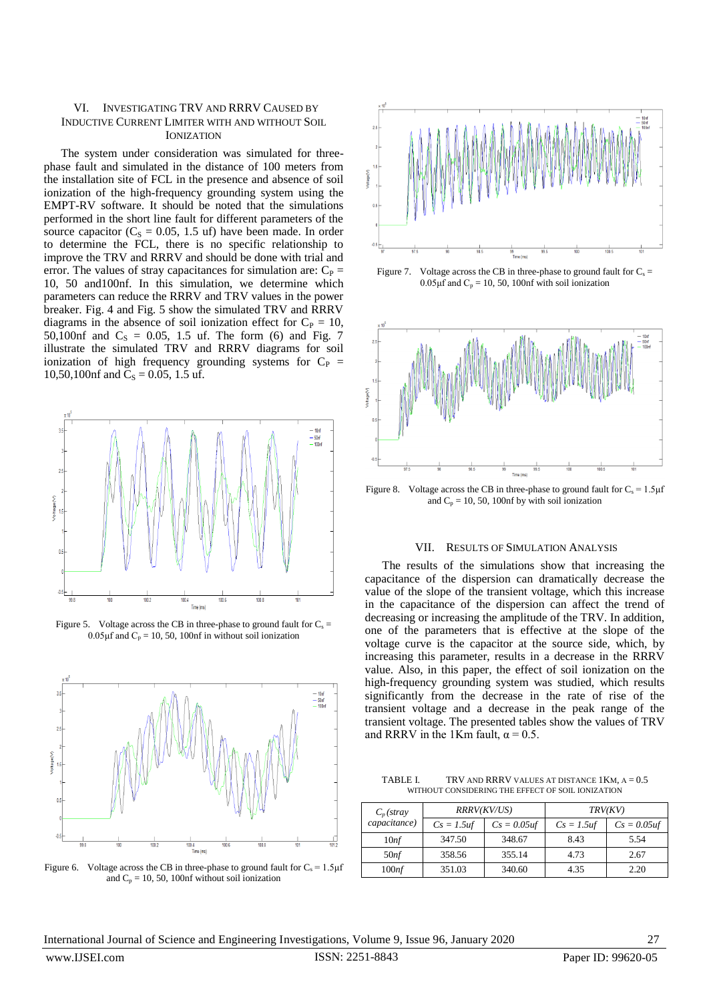## VI. INVESTIGATING TRV AND RRRV CAUSED BY INDUCTIVE CURRENT LIMITER WITH AND WITHOUT SOIL **IONIZATION**

The system under consideration was simulated for threephase fault and simulated in the distance of 100 meters from the installation site of FCL in the presence and absence of soil ionization of the high-frequency grounding system using the EMPT-RV software. It should be noted that the simulations performed in the short line fault for different parameters of the source capacitor ( $C_s = 0.05$ , 1.5 uf) have been made. In order to determine the FCL, there is no specific relationship to improve the TRV and RRRV and should be done with trial and error. The values of stray capacitances for simulation are:  $C_P$  = 10, 50 and100nf. In this simulation, we determine which parameters can reduce the RRRV and TRV values in the power breaker. Fig. 4 and Fig. 5 show the simulated TRV and RRRV diagrams in the absence of soil ionization effect for  $C_P = 10$ , 50,100nf and  $C_s = 0.05$ , 1.5 uf. The form (6) and Fig. 7 illustrate the simulated TRV and RRRV diagrams for soil ionization of high frequency grounding systems for  $C_P$  = 10,50,100nf and  $C_S = 0.05$ , 1.5 uf.



Figure 5. Voltage across the CB in three-phase to ground fault for  $C_s$  =  $0.05 \mu$ f and  $C_p = 10, 50, 100$ nf in without soil ionization



Figure 6. Voltage across the CB in three-phase to ground fault for  $C_s = 1.5 \mu f$ and  $C_p = 10$ , 50, 100nf without soil ionization



Figure 7. Voltage across the CB in three-phase to ground fault for  $C_s$  =  $0.05 \mu$ f and C<sub>p</sub> = 10, 50, 100nf with soil ionization



Figure 8. Voltage across the CB in three-phase to ground fault for  $C_s = 1.5 \mu f$ and  $C_p = 10$ , 50, 100nf by with soil ionization

## VII. RESULTS OF SIMULATION ANALYSIS

The results of the simulations show that increasing the capacitance of the dispersion can dramatically decrease the value of the slope of the transient voltage, which this increase in the capacitance of the dispersion can affect the trend of decreasing or increasing the amplitude of the TRV. In addition, one of the parameters that is effective at the slope of the voltage curve is the capacitor at the source side, which, by increasing this parameter, results in a decrease in the RRRV value. Also, in this paper, the effect of soil ionization on the high-frequency grounding system was studied, which results significantly from the decrease in the rate of rise of the transient voltage and a decrease in the peak range of the transient voltage. The presented tables show the values of TRV and RRRV in the 1Km fault,  $\alpha$  = 0.5.

TABLE I. TRV AND RRRV VALUES AT DISTANCE 1KM,  $A = 0.5$ WITHOUT CONSIDERING THE EFFECT OF SOIL IONIZATION

| $C_p$ (stray<br>capacitance) | RRRV(KV/US)   |                | <i>TRV(KV)</i> |                |
|------------------------------|---------------|----------------|----------------|----------------|
|                              | $Cs = 1.5$ uf | $Cs = 0.05$ uf | $Cs = 1.5$ uf  | $Cs = 0.05$ uf |
| 10 <sup>nf</sup>             | 347.50        | 348.67         | 8.43           | 5.54           |
| 50 <sup>nf</sup>             | 358.56        | 355.14         | 4.73           | 2.67           |
| 100 <sup>nf</sup>            | 351.03        | 340.60         | 4.35           | 2.20           |

International Journal of Science and Engineering Investigations, Volume 9, Issue 96, January 2020 27